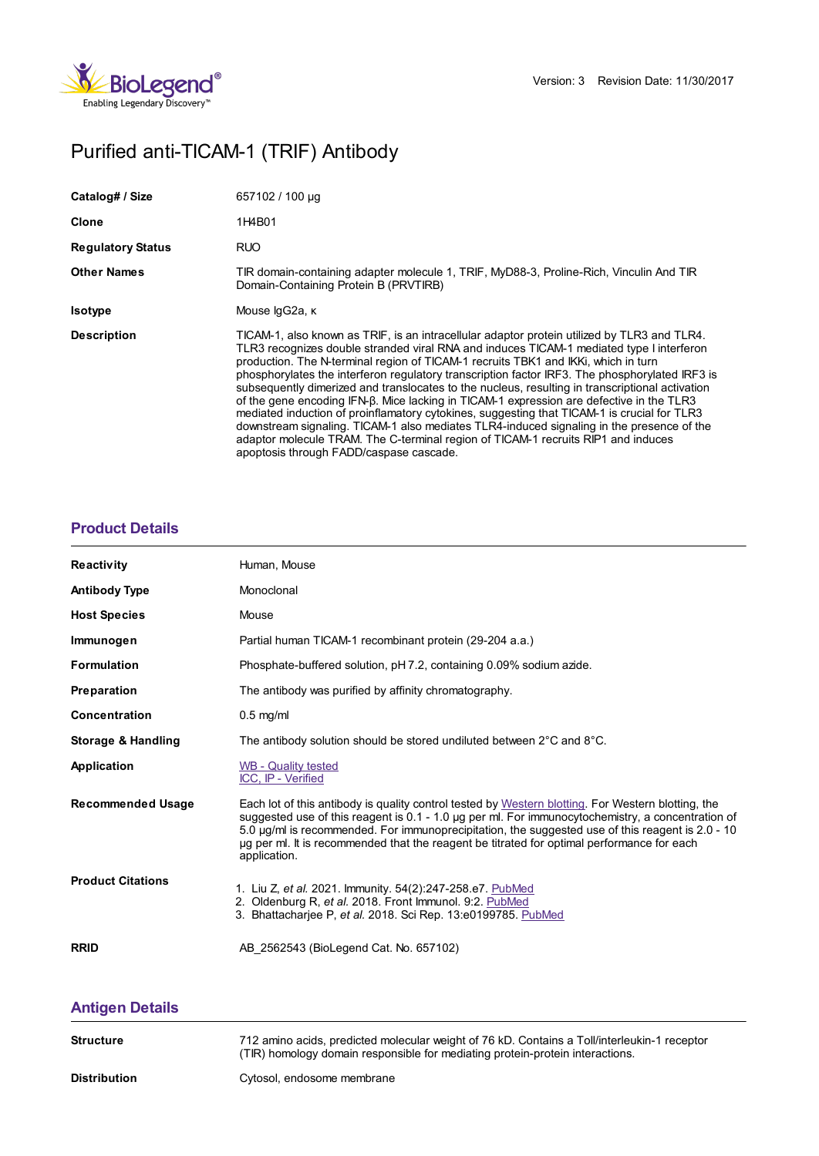

# Purified anti-TICAM-1 (TRIF) Antibody

| Catalog# / Size          | 657102 / 100 µg                                                                                                                                                                                                                                                                                                                                                                                                                                                                                                                                                                                                                                                                                                                                                                                                                                                                                            |
|--------------------------|------------------------------------------------------------------------------------------------------------------------------------------------------------------------------------------------------------------------------------------------------------------------------------------------------------------------------------------------------------------------------------------------------------------------------------------------------------------------------------------------------------------------------------------------------------------------------------------------------------------------------------------------------------------------------------------------------------------------------------------------------------------------------------------------------------------------------------------------------------------------------------------------------------|
| Clone                    | 1H4B01                                                                                                                                                                                                                                                                                                                                                                                                                                                                                                                                                                                                                                                                                                                                                                                                                                                                                                     |
| <b>Regulatory Status</b> | <b>RUO</b>                                                                                                                                                                                                                                                                                                                                                                                                                                                                                                                                                                                                                                                                                                                                                                                                                                                                                                 |
| <b>Other Names</b>       | TIR domain-containing adapter molecule 1, TRIF, MyD88-3, Proline-Rich, Vinculin And TIR<br>Domain-Containing Protein B (PRVTIRB)                                                                                                                                                                                                                                                                                                                                                                                                                                                                                                                                                                                                                                                                                                                                                                           |
| <b>Isotype</b>           | Mouse lgG2a, к                                                                                                                                                                                                                                                                                                                                                                                                                                                                                                                                                                                                                                                                                                                                                                                                                                                                                             |
| <b>Description</b>       | TICAM-1, also known as TRIF, is an intracellular adaptor protein utilized by TLR3 and TLR4.<br>TLR3 recognizes double stranded viral RNA and induces TICAM-1 mediated type I interferon<br>production. The N-terminal region of TICAM-1 recruits TBK1 and IKKI, which in turn<br>phosphorylates the interferon regulatory transcription factor IRF3. The phosphorylated IRF3 is<br>subsequently dimerized and translocates to the nucleus, resulting in transcriptional activation<br>of the gene encoding IFN-β. Mice lacking in TICAM-1 expression are defective in the TLR3<br>mediated induction of proinflamatory cytokines, suggesting that TICAM-1 is crucial for TLR3<br>downstream signaling. TICAM-1 also mediates TLR4-induced signaling in the presence of the<br>adaptor molecule TRAM. The C-terminal region of TICAM-1 recruits RIP1 and induces<br>apoptosis through FADD/caspase cascade. |

## **[Product](https://www.biolegend.com/en-us/products/purified-anti-ticam-1-trif-antibody-8882?pdf=true&displayInline=true&leftRightMargin=15&topBottomMargin=15&filename=Purified anti-TICAM-1 (TRIF) Antibody.pdf#productDetails) Details**

| <b>Reactivity</b>        | Human, Mouse                                                                                                                                                                                                                                                                                                                                                                                                              |
|--------------------------|---------------------------------------------------------------------------------------------------------------------------------------------------------------------------------------------------------------------------------------------------------------------------------------------------------------------------------------------------------------------------------------------------------------------------|
| <b>Antibody Type</b>     | Monoclonal                                                                                                                                                                                                                                                                                                                                                                                                                |
| <b>Host Species</b>      | Mouse                                                                                                                                                                                                                                                                                                                                                                                                                     |
| Immunogen                | Partial human TICAM-1 recombinant protein (29-204 a.a.)                                                                                                                                                                                                                                                                                                                                                                   |
| <b>Formulation</b>       | Phosphate-buffered solution, pH 7.2, containing 0.09% sodium azide.                                                                                                                                                                                                                                                                                                                                                       |
| Preparation              | The antibody was purified by affinity chromatography.                                                                                                                                                                                                                                                                                                                                                                     |
| <b>Concentration</b>     | $0.5$ mg/ml                                                                                                                                                                                                                                                                                                                                                                                                               |
| Storage & Handling       | The antibody solution should be stored undiluted between $2^{\circ}$ C and $8^{\circ}$ C.                                                                                                                                                                                                                                                                                                                                 |
| Application              | WB - Quality tested<br>ICC, IP - Verified                                                                                                                                                                                                                                                                                                                                                                                 |
| <b>Recommended Usage</b> | Each lot of this antibody is quality control tested by Western blotting. For Western blotting, the<br>suggested use of this reagent is 0.1 - 1.0 µg per ml. For immunocytochemistry, a concentration of<br>5.0 µg/ml is recommended. For immunoprecipitation, the suggested use of this reagent is 2.0 - 10<br>ug per ml. It is recommended that the reagent be titrated for optimal performance for each<br>application. |
| <b>Product Citations</b> | 1. Liu Z, et al. 2021. Immunity. 54(2):247-258.e7. PubMed<br>2. Oldenburg R, et al. 2018. Front Immunol. 9:2. PubMed<br>3. Bhattachariee P. et al. 2018. Sci Rep. 13:e0199785. PubMed                                                                                                                                                                                                                                     |
| <b>RRID</b>              | AB 2562543 (BioLegend Cat. No. 657102)                                                                                                                                                                                                                                                                                                                                                                                    |

# **[Antigen](https://www.biolegend.com/en-us/products/purified-anti-ticam-1-trif-antibody-8882?pdf=true&displayInline=true&leftRightMargin=15&topBottomMargin=15&filename=Purified anti-TICAM-1 (TRIF) Antibody.pdf#antigenDetails) Details**

| <b>Structure</b>    | 712 amino acids, predicted molecular weight of 76 kD. Contains a Toll/interleukin-1 receptor<br>(TIR) homology domain responsible for mediating protein-protein interactions. |
|---------------------|-------------------------------------------------------------------------------------------------------------------------------------------------------------------------------|
| <b>Distribution</b> | Cytosol, endosome membrane                                                                                                                                                    |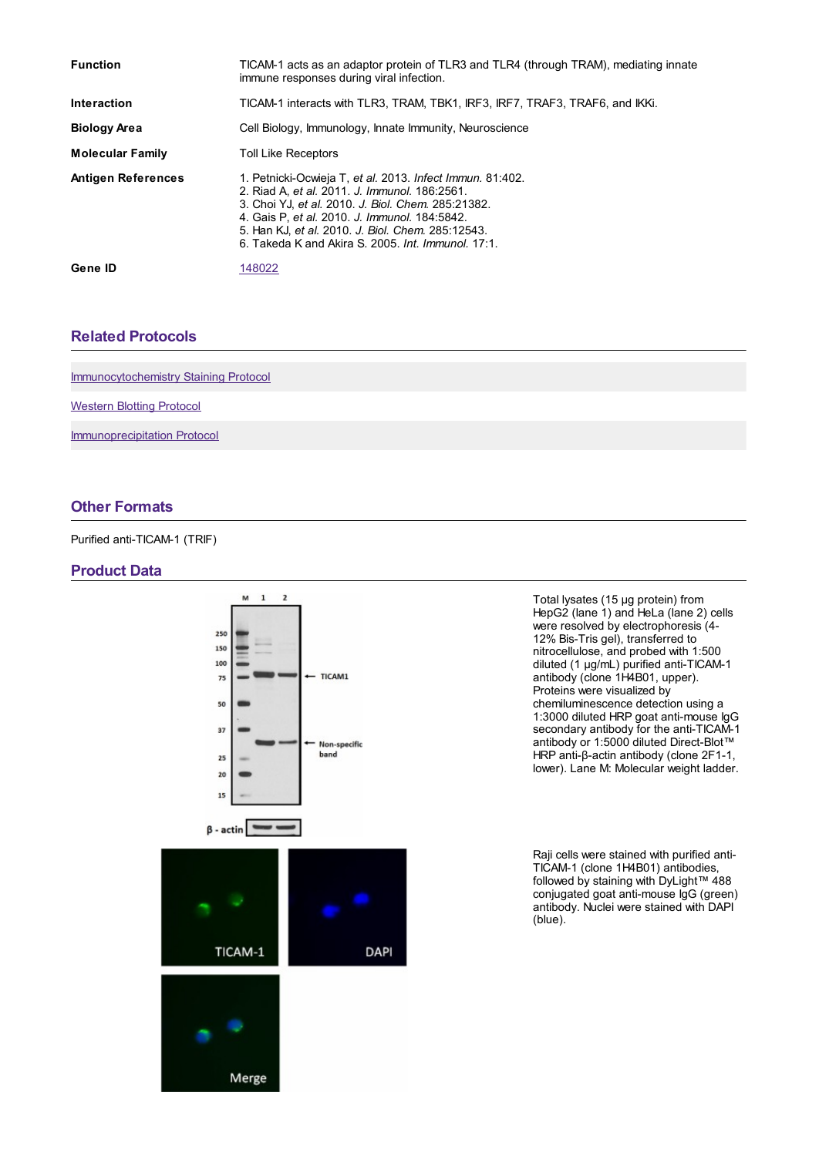| <b>Function</b>           | TICAM-1 acts as an adaptor protein of TLR3 and TLR4 (through TRAM), mediating innate<br>immune responses during viral infection.                                                                                                                                                                                             |
|---------------------------|------------------------------------------------------------------------------------------------------------------------------------------------------------------------------------------------------------------------------------------------------------------------------------------------------------------------------|
| <b>Interaction</b>        | TICAM-1 interacts with TLR3, TRAM, TBK1, IRF3, IRF7, TRAF3, TRAF6, and IKKi.                                                                                                                                                                                                                                                 |
| <b>Biology Area</b>       | Cell Biology, Immunology, Innate Immunity, Neuroscience                                                                                                                                                                                                                                                                      |
| <b>Molecular Family</b>   | <b>Toll Like Receptors</b>                                                                                                                                                                                                                                                                                                   |
| <b>Antigen References</b> | 1. Petnicki-Ocwieja T, et al. 2013. Infect Immun. 81:402.<br>2. Riad A, et al. 2011. J. Immunol. 186:2561.<br>3. Choi YJ, et al. 2010. J. Biol. Chem. 285:21382.<br>4. Gais P, et al. 2010. J. Immunol. 184:5842.<br>5. Han KJ, et al. 2010. J. Biol. Chem. 285:12543.<br>6. Takeda K and Akira S. 2005. Int. Immunol. 17:1. |
| Gene ID                   | 148022                                                                                                                                                                                                                                                                                                                       |

### **Related [Protocols](https://www.biolegend.com/en-us/products/purified-anti-ticam-1-trif-antibody-8882?pdf=true&displayInline=true&leftRightMargin=15&topBottomMargin=15&filename=Purified anti-TICAM-1 (TRIF) Antibody.pdf#productRelatedProtocols)**

[Immunocytochemistry](https://www.biolegend.com/protocols/immunocytochemistry-staining-protocol/4275/) Staining Protocol

[Western](https://www.biolegend.com/protocols/western-blotting-protocol/4269/) Blotting Protocol

[Immunoprecipitation](https://www.biolegend.com/protocols/immunoprecipitation-protocol/4258/) Protocol

### **Other [Formats](https://www.biolegend.com/en-us/products/purified-anti-ticam-1-trif-antibody-8882?pdf=true&displayInline=true&leftRightMargin=15&topBottomMargin=15&filename=Purified anti-TICAM-1 (TRIF) Antibody.pdf#productOtherFormats)**

Purified anti-TICAM-1 (TRIF)

#### **Product Data**



Total lysates (15 µg protein) from HepG2 (lane 1) and HeLa (lane 2) cells were resolved by electrophoresis (4- 12% Bis-Tris gel), transferred to nitrocellulose, and probed with 1:500 diluted (1 µg/mL) purified anti-TICAM-1 antibody (clone 1H4B01, upper). Proteins were visualized by chemiluminescence detection using a 1:3000 diluted HRP goat anti-mouse IgG secondary antibody for the anti-TICAM-1 antibody or 1:5000 diluted Direct-Blot™ HRP anti-β-actin antibody (clone 2F1-1, lower). Lane M: Molecular weight ladder.

Raji cells were stained with purified anti-TICAM-1 (clone 1H4B01) antibodies, followed by staining with DyLight™ 488 conjugated goat anti-mouse IgG (green) antibody. Nuclei were stained with DAPI (blue).